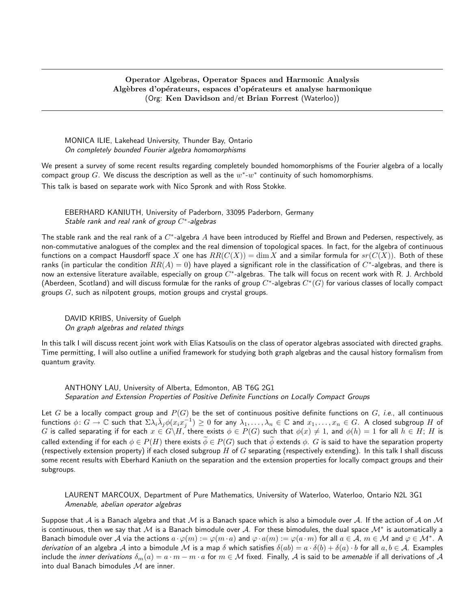## Operator Algebras, Operator Spaces and Harmonic Analysis Algèbres d'opérateurs, espaces d'opérateurs et analyse harmonique (Org: Ken Davidson and/et Brian Forrest (Waterloo))

MONICA ILIE, Lakehead University, Thunder Bay, Ontario On completely bounded Fourier algebra homomorphisms

We present a survey of some recent results regarding completely bounded homomorphisms of the Fourier algebra of a locally compact group  $G$ . We discuss the description as well as the  $w^*$ - $w^*$  continuity of such homomorphisms. This talk is based on separate work with Nico Spronk and with Ross Stokke.

EBERHARD KANIUTH, University of Paderborn, 33095 Paderborn, Germany Stable rank and real rank of group  $C^*$ -algebras

The stable rank and the real rank of a  $C^*$ -algebra  $A$  have been introduced by Rieffel and Brown and Pedersen, respectively, as non-commutative analogues of the complex and the real dimension of topological spaces. In fact, for the algebra of continuous functions on a compact Hausdorff space X one has  $RR(C(X)) = \dim X$  and a similar formula for  $sr(C(X))$ . Both of these ranks (in particular the condition  $RR(A)=0)$  have played a significant role in the classification of  $C^*$ -algebras, and there is now an extensive literature available, especially on group  $C^*$ -algebras. The talk will focus on recent work with R. J. Archbold (Aberdeen, Scotland) and will discuss formulæ for the ranks of group  $C^*$ -algebras  $C^*(G)$  for various classes of locally compact groups  $G$ , such as nilpotent groups, motion groups and crystal groups.

DAVID KRIBS, University of Guelph On graph algebras and related things

In this talk I will discuss recent joint work with Elias Katsoulis on the class of operator algebras associated with directed graphs. Time permitting, I will also outline a unified framework for studying both graph algebras and the causal history formalism from quantum gravity.

ANTHONY LAU, University of Alberta, Edmonton, AB T6G 2G1 Separation and Extension Properties of Positive Definite Functions on Locally Compact Groups

Let G be a locally compact group and  $P(G)$  be the set of continuous positive definite functions on G, i.e., all continuous functions  $\phi\colon G\to \mathbb{C}$  such that  $\Sigma\lambda_i\bar{\lambda}_j\phi(x_ix_j^{-1})\geq 0$  for any  $\lambda_1,\ldots,\lambda_n\in\mathbb{C}$  and  $x_1,\ldots,x_n\in G$ . A closed subgroup  $H$  of  $G$  is called separating if for each  $x\in G\backslash H,$  there exists  $\phi\in P(G)$  such that  $\phi(x)\neq 1,$  and  $\phi(h)=1$  for all  $h\in H;$   $H$  is called extending if for each  $\phi \in P(H)$  there exists  $\phi \in P(G)$  such that  $\phi$  extends  $\phi$ . G is said to have the separation property (respectively extension property) if each closed subgroup  $H$  of  $G$  separating (respectively extending). In this talk I shall discuss some recent results with Eberhard Kaniuth on the separation and the extension properties for locally compact groups and their subgroups.

LAURENT MARCOUX, Department of Pure Mathematics, University of Waterloo, Waterloo, Ontario N2L 3G1 Amenable, abelian operator algebras

Suppose that A is a Banach algebra and that M is a Banach space which is also a bimodule over A. If the action of A on M is continuous, then we say that  $\cal M$  is a Banach bimodule over  $\cal A$ . For these bimodules, the dual space  $\cal M^*$  is automatically a Banach bimodule over  $A$  via the actions  $a \cdot \varphi(m) := \varphi(m \cdot a)$  and  $\varphi \cdot a(m) := \varphi(a \cdot m)$  for all  $a \in A$ ,  $m \in M$  and  $\varphi \in \mathcal{M}^*$ . A derivation of an algebra A into a bimodule M is a map  $\delta$  which satisfies  $\delta(ab) = a \cdot \delta(b) + \delta(a) \cdot b$  for all  $a, b \in A$ . Examples include the inner derivations  $\delta_m(a) = a \cdot m - m \cdot a$  for  $m \in \mathcal{M}$  fixed. Finally,  $\mathcal A$  is said to be amenable if all derivations of  $\mathcal A$ into dual Banach bimodules  $M$  are inner.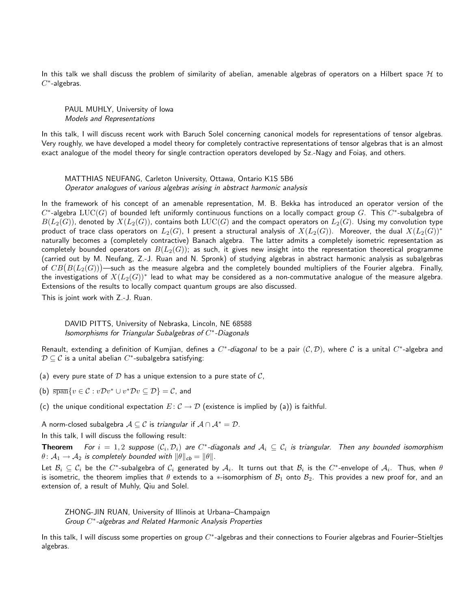In this talk we shall discuss the problem of similarity of abelian, amenable algebras of operators on a Hilbert space  $H$  to  $C^*$ -algebras.

PAUL MUHLY, University of Iowa Models and Representations

In this talk, I will discuss recent work with Baruch Solel concerning canonical models for representations of tensor algebras. Very roughly, we have developed a model theory for completely contractive representations of tensor algebras that is an almost exact analogue of the model theory for single contraction operators developed by Sz.-Nagy and Foiaș, and others.

MATTHIAS NEUFANG, Carleton University, Ottawa, Ontario K1S 5B6 Operator analogues of various algebras arising in abstract harmonic analysis

In the framework of his concept of an amenable representation, M. B. Bekka has introduced an operator version of the  $C^*$ -algebra  $LUC(G)$  of bounded left uniformly continuous functions on a locally compact group G. This  $C^*$ -subalgebra of  $B(L_2(G))$ , denoted by  $X(L_2(G))$ , contains both  $LUC(G)$  and the compact operators on  $L_2(G)$ . Using my convolution type product of trace class operators on  $L_2(G)$ , I present a structural analysis of  $X(L_2(G))$ . Moreover, the dual  $X(L_2(G))^*$ naturally becomes a (completely contractive) Banach algebra. The latter admits a completely isometric representation as completely bounded operators on  $B(L_2(G))$ ; as such, it gives new insight into the representation theoretical programme (carried out by M. Neufang, Z.-J. Ruan and N. Spronk) of studying algebras in abstract harmonic analysis as subalgebras of  $CB(B(L_2(G)))$ —such as the measure algebra and the completely bounded multipliers of the Fourier algebra. Finally, the investigations of  $X(L_2(G))^{\ast}$  lead to what may be considered as a non-commutative analogue of the measure algebra. Extensions of the results to locally compact quantum groups are also discussed.

This is joint work with Z.-J. Ruan.

DAVID PITTS, University of Nebraska, Lincoln, NE 68588 Isomorphisms for Triangular Subalgebras of  $C^*$ -Diagonals

Renault, extending a definition of Kumjian, defines a  $C^*$ -diagonal to be a pair  $(C,D)$ , where  $C$  is a unital  $C^*$ -algebra and  $\mathcal{D} \subseteq \mathcal{C}$  is a unital abelian  $C^*$ -subalgebra satisfying:

- (a) every pure state of  $D$  has a unique extension to a pure state of  $C$ ,
- (b)  $\overline{\text{span}}\{v \in \mathcal{C} : v\mathcal{D}v^* \cup v^*\mathcal{D}v \subseteq \mathcal{D}\} = \mathcal{C}$ , and
- (c) the unique conditional expectation  $E: \mathcal{C} \to \mathcal{D}$  (existence is implied by (a)) is faithful.

A norm-closed subalgebra  $A \subseteq C$  is triangular if  $A \cap A^* = D$ .

In this talk, I will discuss the following result:

**Theorem** For  $i=1,2$  suppose  $(\mathcal{C}_i,\mathcal{D}_i)$  are  $C^*$ -diagonals and  $\mathcal{A}_i\subseteq\mathcal{C}_i$  is triangular. Then any bounded isomorphism  $\theta \colon \mathcal{A}_1 \to \mathcal{A}_2$  is completely bounded with  $\|\theta\|_{cb} = \|\theta\|.$ 

Let  $B_i\subseteq C_i$  be the  $C^*$ -subalgebra of  $C_i$  generated by  $\mathcal{A}_i$ . It turns out that  $B_i$  is the  $C^*$ -envelope of  $\mathcal{A}_i$ . Thus, when  $\theta$ is isometric, the theorem implies that  $\theta$  extends to a \*-isomorphism of  $B_1$  onto  $B_2$ . This provides a new proof for, and an extension of, a result of Muhly, Qiu and Solel.

ZHONG-JIN RUAN, University of Illinois at Urbana–Champaign Group C<sup>\*</sup>-algebras and Related Harmonic Analysis Properties

In this talk, I will discuss some properties on group  $C^*$ -algebras and their connections to Fourier algebras and Fourier–Stieltjes algebras.